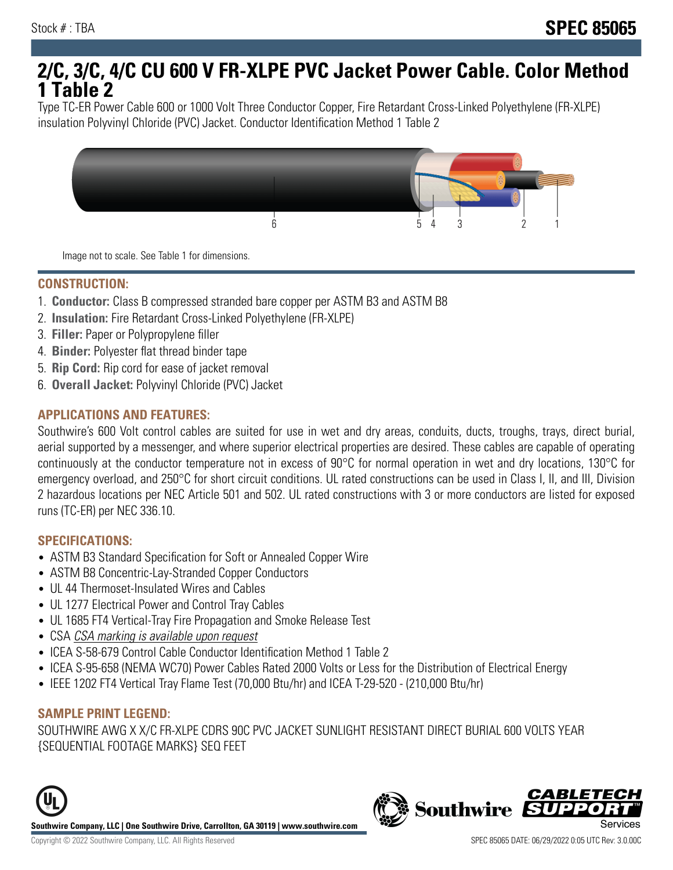# **2/C, 3/C, 4/C CU 600 V FR-XLPE PVC Jacket Power Cable. Color Method 1 Table 2**

Type TC-ER Power Cable 600 or 1000 Volt Three Conductor Copper, Fire Retardant Cross-Linked Polyethylene (FR-XLPE) insulation Polyvinyl Chloride (PVC) Jacket. Conductor Identification Method 1 Table 2



Image not to scale. See Table 1 for dimensions.

#### **CONSTRUCTION:**

- 1. **Conductor:** Class B compressed stranded bare copper per ASTM B3 and ASTM B8
- 2. **Insulation:** Fire Retardant Cross-Linked Polyethylene (FR-XLPE)
- 3. **Filler:** Paper or Polypropylene filler
- 4. **Binder:** Polyester flat thread binder tape
- 5. **Rip Cord:** Rip cord for ease of jacket removal
- 6. **Overall Jacket:** Polyvinyl Chloride (PVC) Jacket

### **APPLICATIONS AND FEATURES:**

Southwire's 600 Volt control cables are suited for use in wet and dry areas, conduits, ducts, troughs, trays, direct burial, aerial supported by a messenger, and where superior electrical properties are desired. These cables are capable of operating continuously at the conductor temperature not in excess of 90°C for normal operation in wet and dry locations, 130°C for emergency overload, and 250°C for short circuit conditions. UL rated constructions can be used in Class I, II, and III, Division 2 hazardous locations per NEC Article 501 and 502. UL rated constructions with 3 or more conductors are listed for exposed runs (TC-ER) per NEC 336.10.

#### **SPECIFICATIONS:**

- ASTM B3 Standard Specification for Soft or Annealed Copper Wire
- ASTM B8 Concentric-Lay-Stranded Copper Conductors
- UL 44 Thermoset-Insulated Wires and Cables
- UL 1277 Electrical Power and Control Tray Cables
- UL 1685 FT4 Vertical-Tray Fire Propagation and Smoke Release Test
- CSA CSA marking is available upon request
- ICEA S-58-679 Control Cable Conductor Identification Method 1 Table 2
- ICEA S-95-658 (NEMA WC70) Power Cables Rated 2000 Volts or Less for the Distribution of Electrical Energy
- IEEE 1202 FT4 Vertical Tray Flame Test (70,000 Btu/hr) and ICEA T-29-520 (210,000 Btu/hr)

#### **SAMPLE PRINT LEGEND:**

SOUTHWIRE AWG X X/C FR-XLPE CDRS 90C PVC JACKET SUNLIGHT RESISTANT DIRECT BURIAL 600 VOLTS YEAR {SEQUENTIAL FOOTAGE MARKS} SEQ FEET